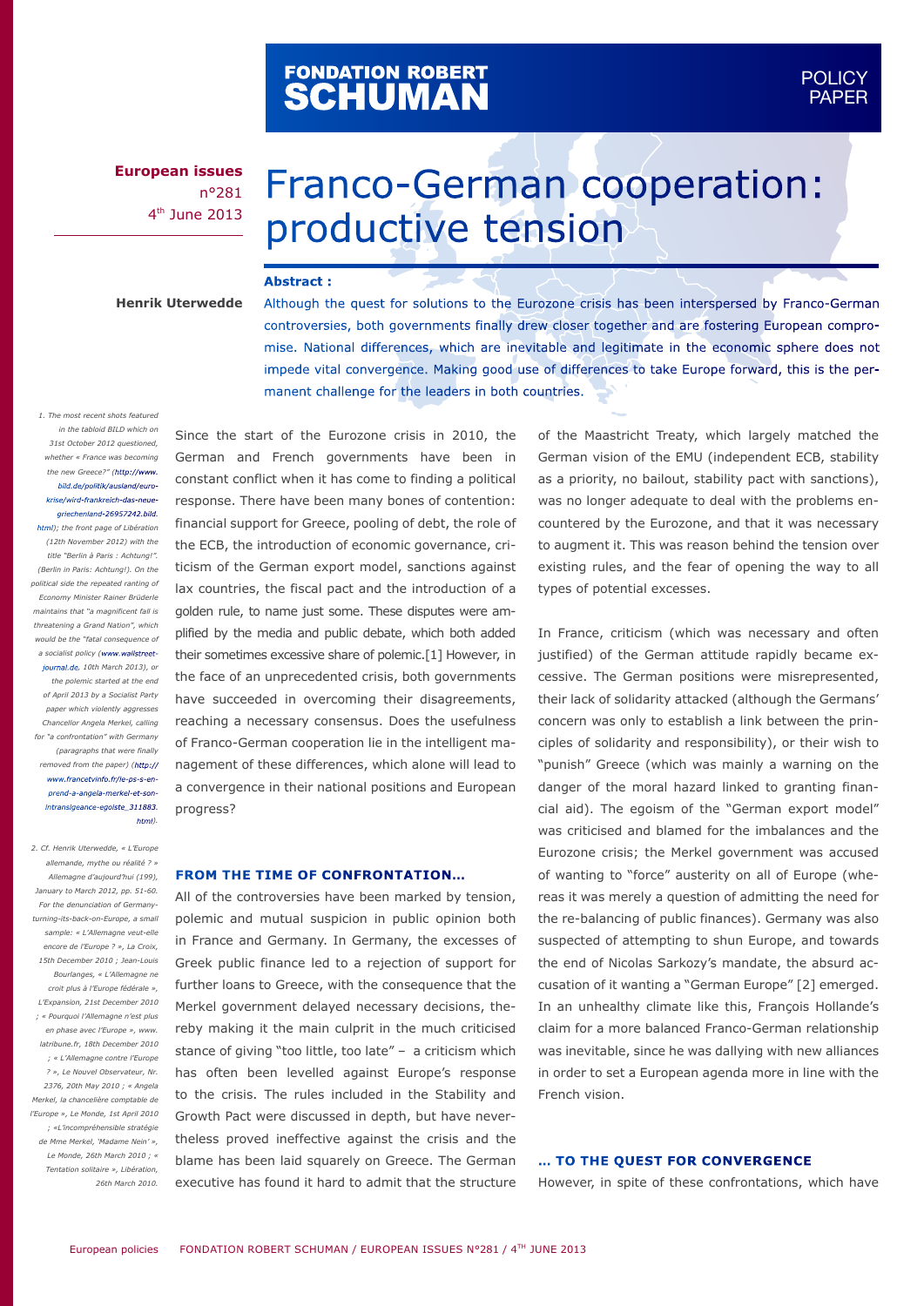# FONDATION ROBERT<br>**SCHUMAN**

**European issues** n°281 4<sup>th</sup> June 2013

**Henrik Uterwedde**

## Franco-German cooperation: productive tension

#### **Abstract :**

Although the quest for solutions to the Eurozone crisis has been interspersed by Franco-German controversies, both governments finally drew closer together and are fostering European compromise. National differences, which are inevitable and legitimate in the economic sphere does not impede vital convergence. Making good use of differences to take Europe forward, this is the permanent challenge for the leaders in both countries.

*1. The most recent shots featured in the tabloid BILD which on 31st October 2012 questioned, whether « France was becoming the new Greece?" (http://www. bild.de/politik/ausland/eurokrise/wird-frankreich-das-neuegriechenland-26957242.bild. [html\); the front page of Libération](http://www.bild.de/politik/ausland/euro-krise/wird-frankreich-das-neue-griechenland-26957242.bild.html)  (12th November 2012) with the title "Berlin à Paris : Achtung!". (Berlin in Paris: Achtung!). On the political side the repeated ranting of Economy Minister Rainer Brüderle maintains that "a magnificent fall is threatening a Grand Nation", which [would be the "fatal consequence of](http://www.wallstreet-journal.de)  a socialist policy (www.wallstreetjournal.de, 10th March 2013), or the polemic started at the end of April 2013 by a Socialist Party paper which violently aggresses Chancellor Angela Merkel, calling for "a confrontation" with Germany (paragraphs that were finally [removed from the paper\) \(http://](http://www.francetvinfo.fr/le-ps-s-en-prend-a-angela-merkel-et-son-intransigeance-egoiste_311883.html) www.francetvinfo.fr/le-ps-s-enprend-a-angela-merkel-et-sonintransigeance-egoiste\_311883. html).*

*2. Cf. Henrik Uterwedde, « L'Europe allemande, mythe ou réalité ? » Allemagne d'aujourd'hui (199), January to March 2012, pp. 51-60. For the denunciation of Germanyturning-its-back-on-Europe, a small sample: « L'Allemagne veut-elle encore de l'Europe ? », La Croix, 15th December 2010 ; Jean-Louis Bourlanges, « L'Allemagne ne croit plus à l'Europe fédérale », L'Expansion, 21st December 2010 ; « Pourquoi l'Allemagne n'est plus en phase avec l'Europe », www. latribune.fr, 18th December 2010 ; « L'Allemagne contre l'Europe ? », Le Nouvel Observateur, Nr. 2376, 20th May 2010 ; « Angela Merkel, la chancelière comptable de l'Europe », Le Monde, 1st April 2010 ; «L'incompréhensible stratégie de Mme Merkel, 'Madame Nein' », Le Monde, 26th March 2010 ; « Tentation solitaire », Libération, 26th March 2010.*

Since the start of the Eurozone crisis in 2010, the German and French governments have been in constant conflict when it has come to finding a political response. There have been many bones of contention: financial support for Greece, pooling of debt, the role of the ECB, the introduction of economic governance, criticism of the German export model, sanctions against lax countries, the fiscal pact and the introduction of a golden rule, to name just some. These disputes were amplified by the media and public debate, which both added their sometimes excessive share of polemic.[1] However, in the face of an unprecedented crisis, both governments have succeeded in overcoming their disagreements, reaching a necessary consensus. Does the usefulness of Franco-German cooperation lie in the intelligent management of these differences, which alone will lead to a convergence in their national positions and European progress?

#### **FROM THE TIME OF CONFRONTATION…**

All of the controversies have been marked by tension, polemic and mutual suspicion in public opinion both in France and Germany. In Germany, the excesses of Greek public finance led to a rejection of support for further loans to Greece, with the consequence that the Merkel government delayed necessary decisions, thereby making it the main culprit in the much criticised stance of giving "too little, too late" – a criticism which has often been levelled against Europe's response to the crisis. The rules included in the Stability and Growth Pact were discussed in depth, but have nevertheless proved ineffective against the crisis and the blame has been laid squarely on Greece. The German executive has found it hard to admit that the structure of the Maastricht Treaty, which largely matched the German vision of the EMU (independent ECB, stability as a priority, no bailout, stability pact with sanctions), was no longer adequate to deal with the problems encountered by the Eurozone, and that it was necessary to augment it. This was reason behind the tension over existing rules, and the fear of opening the way to all types of potential excesses.

In France, criticism (which was necessary and often justified) of the German attitude rapidly became excessive. The German positions were misrepresented, their lack of solidarity attacked (although the Germans' concern was only to establish a link between the principles of solidarity and responsibility), or their wish to "punish" Greece (which was mainly a warning on the danger of the moral hazard linked to granting financial aid). The egoism of the "German export model" was criticised and blamed for the imbalances and the Eurozone crisis; the Merkel government was accused of wanting to "force" austerity on all of Europe (whereas it was merely a question of admitting the need for the re-balancing of public finances). Germany was also suspected of attempting to shun Europe, and towards the end of Nicolas Sarkozy's mandate, the absurd accusation of it wanting a "German Europe" [2] emerged. In an unhealthy climate like this, François Hollande's claim for a more balanced Franco-German relationship was inevitable, since he was dallying with new alliances in order to set a European agenda more in line with the French vision.

#### **… TO THE QUEST FOR CONVERGENCE**

However, in spite of these confrontations, which have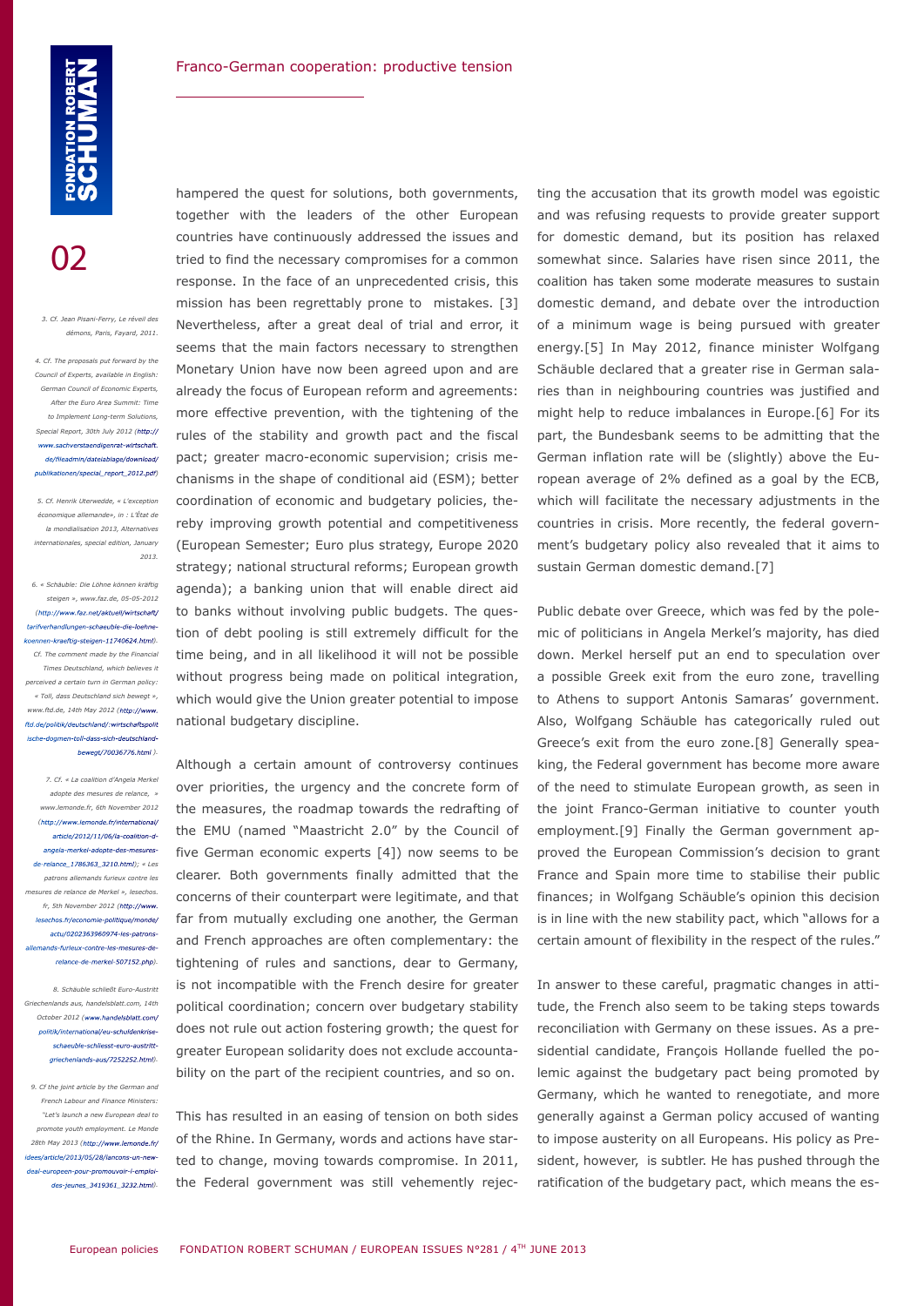*3. Cf. Jean Pisani-Ferry, Le réveil des* 

*démons, Paris, Fayard, 2011.*

02

*4. Cf. The proposals put forward by the Council of Experts, available in English: German Council of Economic Experts, After the Euro Area Summit: Time to Implement Long-term Solutions, Special Report, 30th July 2012 (http:// www.sachverstaendigenrat-wirtschaft.*

*de/fileadmin/dateiablage/download/ [publikationen/special\\_report\\_2012.pdf\)](http://www.sachverstaendigenrat-wirtschaft.de/fileadmin/dateiablage/download/publikationen/special_report_2012.pdf)* 

*5. Cf. Henrik Uterwedde, « L'exception économique allemande», in : L'État de la mondialisation 2013, Alternatives internationales, special edition, January 2013.*

*6. « Schäuble: Die Löhne können kräftig steigen », www.faz.de, 05-05-2012 (http://www.faz.net/aktuell/wirtschaft/ tarifverhandlungen-schaeuble-die-loehne[koennen-kraeftig-steigen-11740624.html\).](http://www.faz.net/aktuell/wirtschaft/tarifverhandlungen-schaeuble-die-loehne-koennen-kraeftig-steigen-11740624.html)  Cf. The comment made by the Financial Times Deutschland, which believes it perceived a certain turn in German policy: « Toll, dass Deutschland sich bewegt », www.ftd.de, 14th May 2012 (http://www. [ftd.de/politik/deutschland/:wirtschaftspolit](http://www.ftd.de/politik/deutschland/:wirtschaftspolitische-dogmen-toll-dass-sich-deutschland-bewegt/70036776.html) ische-dogmen-toll-dass-sich-deutschlandbewegt/70036776.html ).*

*7. Cf. « La coalition d'Angela Merkel adopte des mesures de relance, » www.lemonde.fr, 6th November 2012 (http://www.lemonde.fr/international/ article/2012/11/06/la-coalition-dangela-merkel-adopte-des-mesures[de-relance\\_1786363\\_3210.html\); « Les](http://www.lemonde.fr/international/article/2012/11/06/la-coalition-d-angela-merkel-adopte-des-mesures-de-relance_1786363_3210.html)  patrons allemands furieux contre les [mesures de relance de Merkel », lesechos.](http://www.lesechos.fr/economie-politique/monde/actu/0202363960974-les-patrons-allemands-furieux-contre-les-mesures-de-relance-de-merkel-507152.php) fr, 5th November 2012 (http://www. lesechos.fr/economie-politique/monde/ actu/0202363960974-les-patronsallemands-furieux-contre-les-mesures-derelance-de-merkel-507152.php).*

*8. Schäuble schließt Euro-Austritt [Griechenlands aus, handelsblatt.com, 14th](http://www.handelsblatt.com/politik/international/eu-schuldenkrise-schaeuble-schliesst-euro-austritt-griechenlands-aus/7252252.html)  October 2012 (www.handelsblatt.com/ politik/international/eu-schuldenkriseschaeuble-schliesst-euro-austrittgriechenlands-aus/7252252.html).* 

*9. Cf the joint article by the German and French Labour and Finance Ministers: "Let's launch a new European deal to promote youth employment. Le Monde 28th May 2013 (http://www.lemonde.fr/ [idees/article/2013/05/28/lancons-un-new](http://www.lemonde.fr/idees/article/2013/05/28/lancons-un-new-deal-europeen-pour-promouvoir-l-emploi-des-jeunes_3419361_3232.html)deal-europeen-pour-promouvoir-l-emploides-jeunes\_3419361\_3232.html).*

hampered the quest for solutions, both governments, together with the leaders of the other European countries have continuously addressed the issues and tried to find the necessary compromises for a common response. In the face of an unprecedented crisis, this mission has been regrettably prone to mistakes. [3] Nevertheless, after a great deal of trial and error, it seems that the main factors necessary to strengthen Monetary Union have now been agreed upon and are already the focus of European reform and agreements: more effective prevention, with the tightening of the rules of the stability and growth pact and the fiscal pact; greater macro-economic supervision; crisis mechanisms in the shape of conditional aid (ESM); better coordination of economic and budgetary policies, thereby improving growth potential and competitiveness (European Semester; Euro plus strategy, Europe 2020 strategy; national structural reforms; European growth agenda); a banking union that will enable direct aid to banks without involving public budgets. The question of debt pooling is still extremely difficult for the time being, and in all likelihood it will not be possible without progress being made on political integration, which would give the Union greater potential to impose national budgetary discipline.

Although a certain amount of controversy continues over priorities, the urgency and the concrete form of the measures, the roadmap towards the redrafting of the EMU (named "Maastricht 2.0" by the Council of five German economic experts [4]) now seems to be clearer. Both governments finally admitted that the concerns of their counterpart were legitimate, and that far from mutually excluding one another, the German and French approaches are often complementary: the tightening of rules and sanctions, dear to Germany, is not incompatible with the French desire for greater political coordination; concern over budgetary stability does not rule out action fostering growth; the quest for greater European solidarity does not exclude accountability on the part of the recipient countries, and so on.

This has resulted in an easing of tension on both sides of the Rhine. In Germany, words and actions have started to change, moving towards compromise. In 2011, the Federal government was still vehemently rejecting the accusation that its growth model was egoistic and was refusing requests to provide greater support for domestic demand, but its position has relaxed somewhat since. Salaries have risen since 2011, the coalition has taken some moderate measures to sustain domestic demand, and debate over the introduction of a minimum wage is being pursued with greater energy.[5] In May 2012, finance minister Wolfgang Schäuble declared that a greater rise in German salaries than in neighbouring countries was justified and might help to reduce imbalances in Europe.[6] For its part, the Bundesbank seems to be admitting that the German inflation rate will be (slightly) above the European average of 2% defined as a goal by the ECB, which will facilitate the necessary adjustments in the countries in crisis. More recently, the federal government's budgetary policy also revealed that it aims to sustain German domestic demand.[7]

Public debate over Greece, which was fed by the polemic of politicians in Angela Merkel's majority, has died down. Merkel herself put an end to speculation over a possible Greek exit from the euro zone, travelling to Athens to support Antonis Samaras' government. Also, Wolfgang Schäuble has categorically ruled out Greece's exit from the euro zone.[8] Generally speaking, the Federal government has become more aware of the need to stimulate European growth, as seen in the joint Franco-German initiative to counter youth employment.[9] Finally the German government approved the European Commission's decision to grant France and Spain more time to stabilise their public finances; in Wolfgang Schäuble's opinion this decision is in line with the new stability pact, which "allows for a certain amount of flexibility in the respect of the rules."

In answer to these careful, pragmatic changes in attitude, the French also seem to be taking steps towards reconciliation with Germany on these issues. As a presidential candidate, François Hollande fuelled the polemic against the budgetary pact being promoted by Germany, which he wanted to renegotiate, and more generally against a German policy accused of wanting to impose austerity on all Europeans. His policy as President, however, is subtler. He has pushed through the ratification of the budgetary pact, which means the es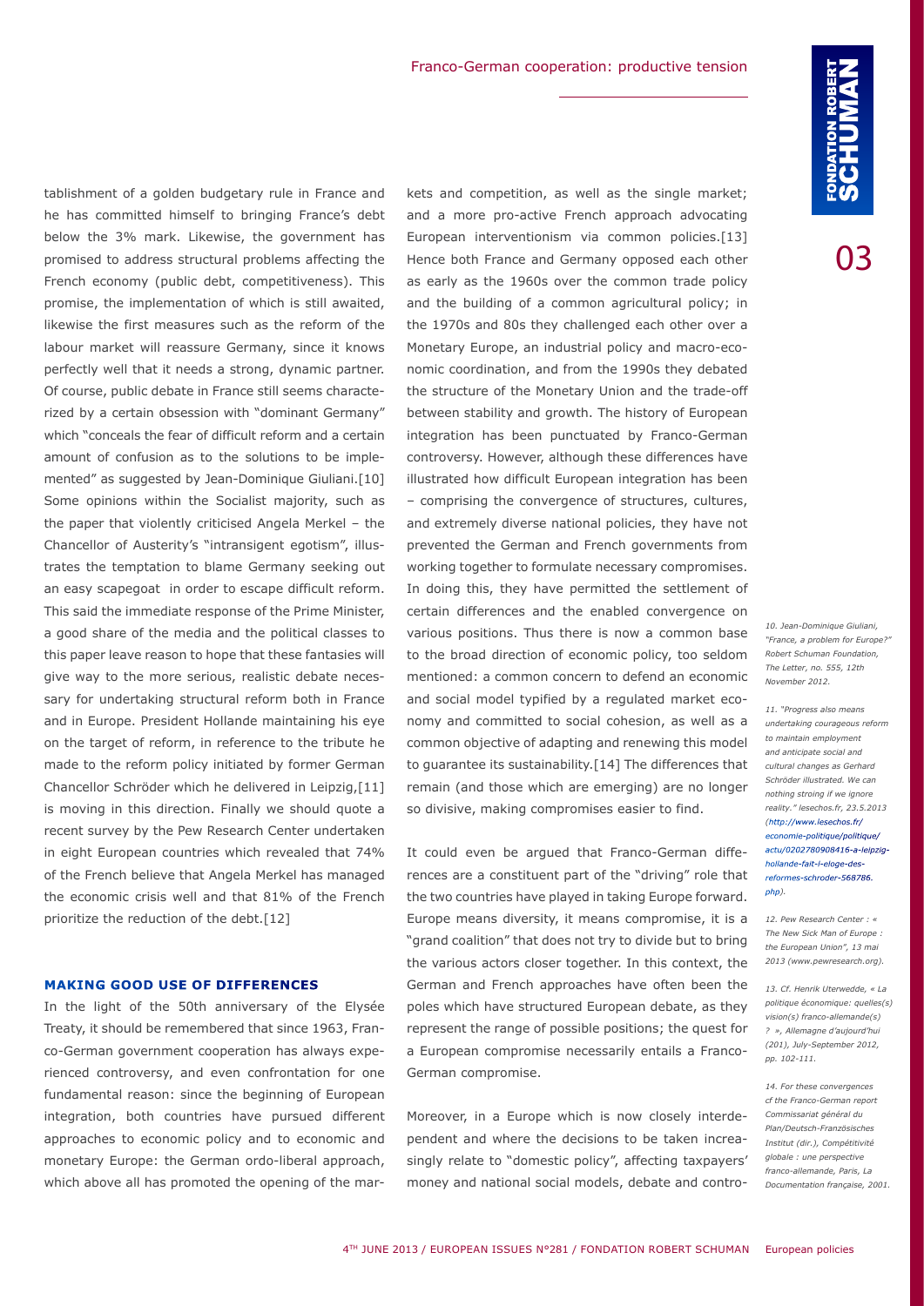tablishment of a golden budgetary rule in France and he has committed himself to bringing France's debt below the 3% mark. Likewise, the government has promised to address structural problems affecting the French economy (public debt, competitiveness). This promise, the implementation of which is still awaited, likewise the first measures such as the reform of the labour market will reassure Germany, since it knows perfectly well that it needs a strong, dynamic partner. Of course, public debate in France still seems characterized by a certain obsession with "dominant Germany" which "conceals the fear of difficult reform and a certain amount of confusion as to the solutions to be implemented" as suggested by Jean-Dominique Giuliani.[10] Some opinions within the Socialist majority, such as the paper that violently criticised Angela Merkel – the Chancellor of Austerity's "intransigent egotism", illustrates the temptation to blame Germany seeking out an easy scapegoat in order to escape difficult reform. This said the immediate response of the Prime Minister, a good share of the media and the political classes to this paper leave reason to hope that these fantasies will give way to the more serious, realistic debate necessary for undertaking structural reform both in France and in Europe. President Hollande maintaining his eye on the target of reform, in reference to the tribute he made to the reform policy initiated by former German Chancellor Schröder which he delivered in Leipzig,[11] is moving in this direction. Finally we should quote a recent survey by the Pew Research Center undertaken in eight European countries which revealed that 74% of the French believe that Angela Merkel has managed the economic crisis well and that 81% of the French prioritize the reduction of the debt.[12]

#### **MAKING GOOD USE OF DIFFERENCES**

In the light of the 50th anniversary of the Elysée Treaty, it should be remembered that since 1963, Franco-German government cooperation has always experienced controversy, and even confrontation for one fundamental reason: since the beginning of European integration, both countries have pursued different approaches to economic policy and to economic and monetary Europe: the German ordo-liberal approach, which above all has promoted the opening of the markets and competition, as well as the single market; and a more pro-active French approach advocating European interventionism via common policies.[13] Hence both France and Germany opposed each other as early as the 1960s over the common trade policy and the building of a common agricultural policy; in the 1970s and 80s they challenged each other over a Monetary Europe, an industrial policy and macro-economic coordination, and from the 1990s they debated the structure of the Monetary Union and the trade-off between stability and growth. The history of European integration has been punctuated by Franco-German controversy. However, although these differences have illustrated how difficult European integration has been – comprising the convergence of structures, cultures, and extremely diverse national policies, they have not prevented the German and French governments from working together to formulate necessary compromises. In doing this, they have permitted the settlement of certain differences and the enabled convergence on various positions. Thus there is now a common base to the broad direction of economic policy, too seldom mentioned: a common concern to defend an economic and social model typified by a regulated market economy and committed to social cohesion, as well as a common objective of adapting and renewing this model to guarantee its sustainability.[14] The differences that remain (and those which are emerging) are no longer so divisive, making compromises easier to find.

It could even be argued that Franco-German differences are a constituent part of the "driving" role that the two countries have played in taking Europe forward. Europe means diversity, it means compromise, it is a "grand coalition" that does not try to divide but to bring the various actors closer together. In this context, the German and French approaches have often been the poles which have structured European debate, as they represent the range of possible positions; the quest for a European compromise necessarily entails a Franco-German compromise.

Moreover, in a Europe which is now closely interdependent and where the decisions to be taken increasingly relate to "domestic policy", affecting taxpayers' money and national social models, debate and contro-

### 03

*10. Jean-Dominique Giuliani, "France, a problem for Europe?" Robert Schuman Foundation, The Letter, no. 555, 12th November 2012.*

*11. "Progress also means [undertaking courageous reform](http://www.lesechos.fr/economie-politique/politique/actu/0202780908416-a-leipzig-hollande-fait-l-eloge-des-reformes-schroder-568786.php)  to maintain employment and anticipate social and cultural changes as Gerhard Schröder illustrated. We can nothing stroing if we ignore reality." lesechos.fr, 23.5.2013 (http://www.lesechos.fr/ economie-politique/politique/ actu/0202780908416-a-leipzighollande-fait-l-eloge-desreformes-schroder-568786. php).*

*12. Pew Research Center : « The New Sick Man of Europe : the European Union", 13 mai 2013 (www.pewresearch.org).*

*13. Cf. Henrik Uterwedde, « La politique économique: quelles(s) vision(s) franco-allemande(s) ? », Allemagne d'aujourd'hui (201), July-September 2012, pp. 102-111.*

*14. For these convergences cf the Franco-German report Commissariat général du Plan/Deutsch-Französisches Institut (dir.), Compétitivité globale : une perspective franco-allemande, Paris, La Documentation française, 2001.*